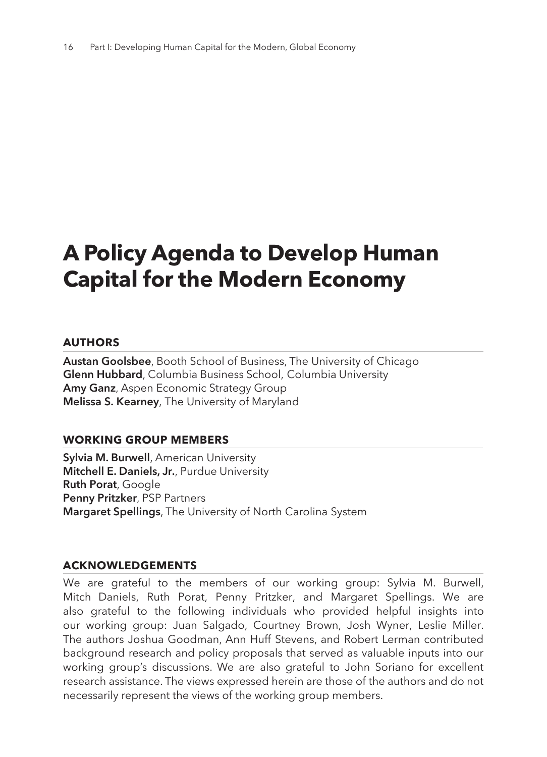# **A Policy Agenda to Develop Human Capital for the Modern Economy**

#### **AUTHORS**

**Austan Goolsbee**, Booth School of Business, The University of Chicago **Glenn Hubbard**, Columbia Business School, Columbia University **Amy Ganz**, Aspen Economic Strategy Group **Melissa S. Kearney**, The University of Maryland

#### **WORKING GROUP MEMBERS**

**Sylvia M. Burwell**, American University **Mitchell E. Daniels, Jr.**, Purdue University **Ruth Porat**, Google **Penny Pritzker**, PSP Partners **Margaret Spellings**, The University of North Carolina System

#### **ACKNOWLEDGEMENTS**

We are grateful to the members of our working group: Sylvia M. Burwell, Mitch Daniels, Ruth Porat, Penny Pritzker, and Margaret Spellings. We are also grateful to the following individuals who provided helpful insights into our working group: Juan Salgado, Courtney Brown, Josh Wyner, Leslie Miller. The authors Joshua Goodman, Ann Huff Stevens, and Robert Lerman contributed background research and policy proposals that served as valuable inputs into our working group's discussions. We are also grateful to John Soriano for excellent research assistance. The views expressed herein are those of the authors and do not necessarily represent the views of the working group members.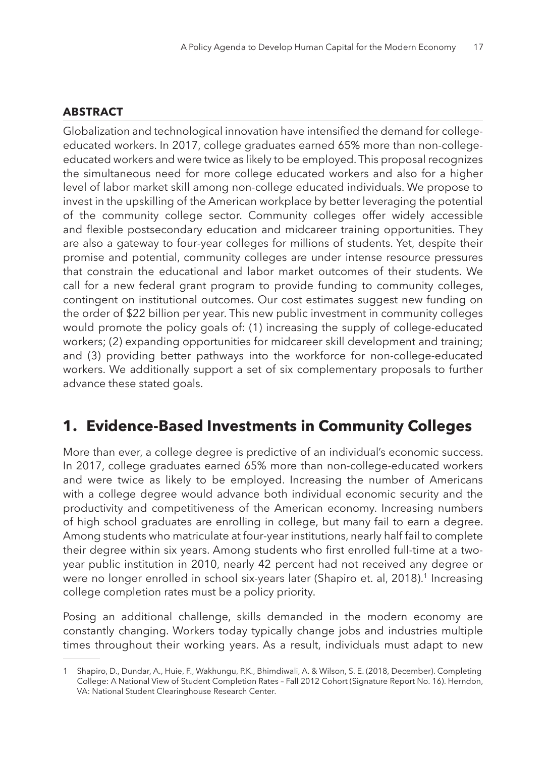#### **ABSTRACT**

Globalization and technological innovation have intensified the demand for collegeeducated workers. In 2017, college graduates earned 65% more than non-collegeeducated workers and were twice as likely to be employed. This proposal recognizes the simultaneous need for more college educated workers and also for a higher level of labor market skill among non-college educated individuals. We propose to invest in the upskilling of the American workplace by better leveraging the potential of the community college sector. Community colleges offer widely accessible and flexible postsecondary education and midcareer training opportunities. They are also a gateway to four-year colleges for millions of students. Yet, despite their promise and potential, community colleges are under intense resource pressures that constrain the educational and labor market outcomes of their students. We call for a new federal grant program to provide funding to community colleges, contingent on institutional outcomes. Our cost estimates suggest new funding on the order of \$22 billion per year. This new public investment in community colleges would promote the policy goals of: (1) increasing the supply of college-educated workers; (2) expanding opportunities for midcareer skill development and training; and (3) providing better pathways into the workforce for non-college-educated workers. We additionally support a set of six complementary proposals to further advance these stated goals.

# **1. Evidence-Based Investments in Community Colleges**

More than ever, a college degree is predictive of an individual's economic success. In 2017, college graduates earned 65% more than non-college-educated workers and were twice as likely to be employed. Increasing the number of Americans with a college degree would advance both individual economic security and the productivity and competitiveness of the American economy. Increasing numbers of high school graduates are enrolling in college, but many fail to earn a degree. Among students who matriculate at four-year institutions, nearly half fail to complete their degree within six years. Among students who first enrolled full-time at a twoyear public institution in 2010, nearly 42 percent had not received any degree or were no longer enrolled in school six-years later (Shapiro et. al, 2018).<sup>1</sup> Increasing college completion rates must be a policy priority.

Posing an additional challenge, skills demanded in the modern economy are constantly changing. Workers today typically change jobs and industries multiple times throughout their working years. As a result, individuals must adapt to new

<sup>1</sup> Shapiro, D., Dundar, A., Huie, F., Wakhungu, P.K., Bhimdiwali, A. & Wilson, S. E. (2018, December). Completing College: A National View of Student Completion Rates – Fall 2012 Cohort (Signature Report No. 16). Herndon, VA: National Student Clearinghouse Research Center.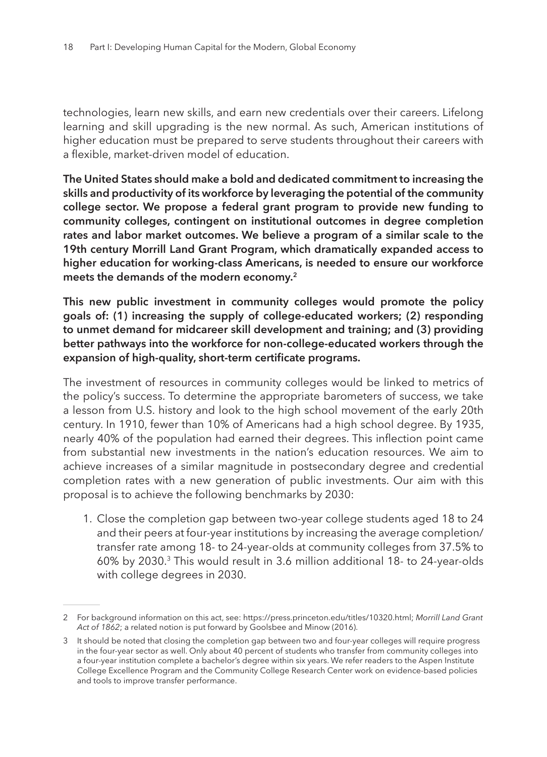technologies, learn new skills, and earn new credentials over their careers. Lifelong learning and skill upgrading is the new normal. As such, American institutions of higher education must be prepared to serve students throughout their careers with a flexible, market-driven model of education.

**The United States should make a bold and dedicated commitment to increasing the skills and productivity of its workforce by leveraging the potential of the community college sector. We propose a federal grant program to provide new funding to community colleges, contingent on institutional outcomes in degree completion rates and labor market outcomes. We believe a program of a similar scale to the 19th century Morrill Land Grant Program, which dramatically expanded access to higher education for working-class Americans, is needed to ensure our workforce meets the demands of the modern economy.<sup>2</sup>**

**This new public investment in community colleges would promote the policy goals of: (1) increasing the supply of college-educated workers; (2) responding to unmet demand for midcareer skill development and training; and (3) providing better pathways into the workforce for non-college-educated workers through the expansion of high-quality, short-term certificate programs.**

The investment of resources in community colleges would be linked to metrics of the policy's success. To determine the appropriate barometers of success, we take a lesson from U.S. history and look to the high school movement of the early 20th century. In 1910, fewer than 10% of Americans had a high school degree. By 1935, nearly 40% of the population had earned their degrees. This inflection point came from substantial new investments in the nation's education resources. We aim to achieve increases of a similar magnitude in postsecondary degree and credential completion rates with a new generation of public investments. Our aim with this proposal is to achieve the following benchmarks by 2030:

1. Close the completion gap between two-year college students aged 18 to 24 and their peers at four-year institutions by increasing the average completion/ transfer rate among 18- to 24-year-olds at community colleges from 37.5% to 60% by 2030.3 This would result in 3.6 million additional 18- to 24-year-olds with college degrees in 2030.

<sup>2</sup> For background information on this act, see: https://press.princeton.edu/titles/10320.html; *Morrill Land Grant Act of 1862*; a related notion is put forward by Goolsbee and Minow (2016).

<sup>3</sup> It should be noted that closing the completion gap between two and four-year colleges will require progress in the four-year sector as well. Only about 40 percent of students who transfer from community colleges into a four-year institution complete a bachelor's degree within six years. We refer readers to the Aspen Institute College Excellence Program and the Community College Research Center work on evidence-based policies and tools to improve transfer performance.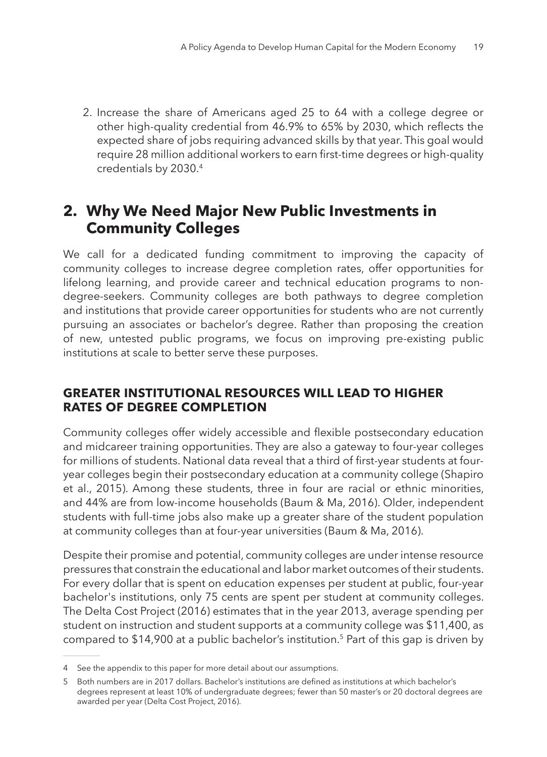2. Increase the share of Americans aged 25 to 64 with a college degree or other high-quality credential from 46.9% to 65% by 2030, which reflects the expected share of jobs requiring advanced skills by that year. This goal would require 28 million additional workers to earn first-time degrees or high-quality credentials by 2030.4

## **2. Why We Need Major New Public Investments in Community Colleges**

We call for a dedicated funding commitment to improving the capacity of community colleges to increase degree completion rates, offer opportunities for lifelong learning, and provide career and technical education programs to nondegree-seekers. Community colleges are both pathways to degree completion and institutions that provide career opportunities for students who are not currently pursuing an associates or bachelor's degree. Rather than proposing the creation of new, untested public programs, we focus on improving pre-existing public institutions at scale to better serve these purposes.

### **GREATER INSTITUTIONAL RESOURCES WILL LEAD TO HIGHER RATES OF DEGREE COMPLETION**

Community colleges offer widely accessible and flexible postsecondary education and midcareer training opportunities. They are also a gateway to four-year colleges for millions of students. National data reveal that a third of first-year students at fouryear colleges begin their postsecondary education at a community college (Shapiro et al., 2015). Among these students, three in four are racial or ethnic minorities, and 44% are from low-income households (Baum & Ma, 2016). Older, independent students with full-time jobs also make up a greater share of the student population at community colleges than at four-year universities (Baum & Ma, 2016).

Despite their promise and potential, community colleges are under intense resource pressures that constrain the educational and labor market outcomes of their students. For every dollar that is spent on education expenses per student at public, four-year bachelor's institutions, only 75 cents are spent per student at community colleges. The Delta Cost Project (2016) estimates that in the year 2013, average spending per student on instruction and student supports at a community college was \$11,400, as compared to \$14,900 at a public bachelor's institution.5 Part of this gap is driven by

<sup>4</sup> See the appendix to this paper for more detail about our assumptions.

<sup>5</sup> Both numbers are in 2017 dollars. Bachelor's institutions are defined as institutions at which bachelor's degrees represent at least 10% of undergraduate degrees; fewer than 50 master's or 20 doctoral degrees are awarded per year (Delta Cost Project, 2016).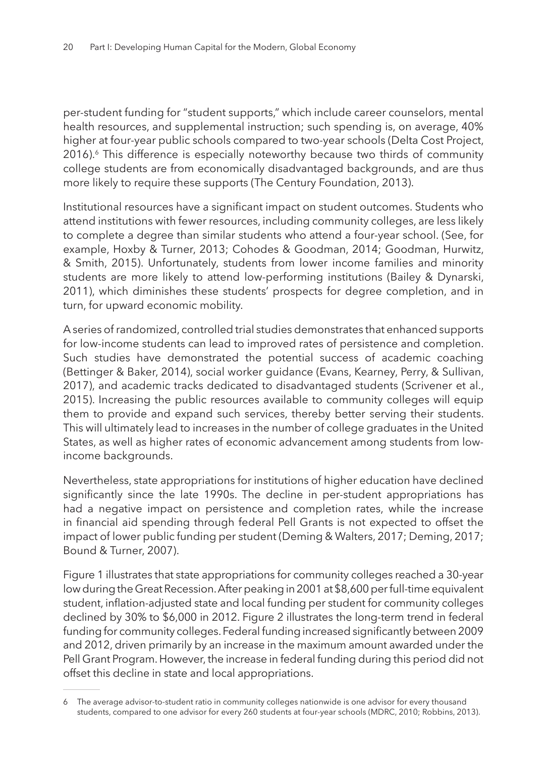per-student funding for "student supports," which include career counselors, mental health resources, and supplemental instruction; such spending is, on average, 40% higher at four-year public schools compared to two-year schools (Delta Cost Project, 2016).<sup>6</sup> This difference is especially noteworthy because two thirds of community college students are from economically disadvantaged backgrounds, and are thus more likely to require these supports (The Century Foundation, 2013).

Institutional resources have a significant impact on student outcomes. Students who attend institutions with fewer resources, including community colleges, are less likely to complete a degree than similar students who attend a four-year school. (See, for example, Hoxby & Turner, 2013; Cohodes & Goodman, 2014; Goodman, Hurwitz, & Smith, 2015). Unfortunately, students from lower income families and minority students are more likely to attend low-performing institutions (Bailey & Dynarski, 2011), which diminishes these students' prospects for degree completion, and in turn, for upward economic mobility.

A series of randomized, controlled trial studies demonstrates that enhanced supports for low-income students can lead to improved rates of persistence and completion. Such studies have demonstrated the potential success of academic coaching (Bettinger & Baker, 2014), social worker guidance (Evans, Kearney, Perry, & Sullivan, 2017), and academic tracks dedicated to disadvantaged students (Scrivener et al., 2015). Increasing the public resources available to community colleges will equip them to provide and expand such services, thereby better serving their students. This will ultimately lead to increases in the number of college graduates in the United States, as well as higher rates of economic advancement among students from lowincome backgrounds.

Nevertheless, state appropriations for institutions of higher education have declined significantly since the late 1990s. The decline in per-student appropriations has had a negative impact on persistence and completion rates, while the increase in financial aid spending through federal Pell Grants is not expected to offset the impact of lower public funding per student (Deming & Walters, 2017; Deming, 2017; Bound & Turner, 2007).

Figure 1 illustrates that state appropriations for community colleges reached a 30-year low during the Great Recession. After peaking in 2001 at \$8,600 per full-time equivalent student, inflation-adjusted state and local funding per student for community colleges declined by 30% to \$6,000 in 2012. Figure 2 illustrates the long-term trend in federal funding for community colleges. Federal funding increased significantly between 2009 and 2012, driven primarily by an increase in the maximum amount awarded under the Pell Grant Program. However, the increase in federal funding during this period did not offset this decline in state and local appropriations.

<sup>6</sup> The average advisor-to-student ratio in community colleges nationwide is one advisor for every thousand students, compared to one advisor for every 260 students at four-year schools (MDRC, 2010; Robbins, 2013).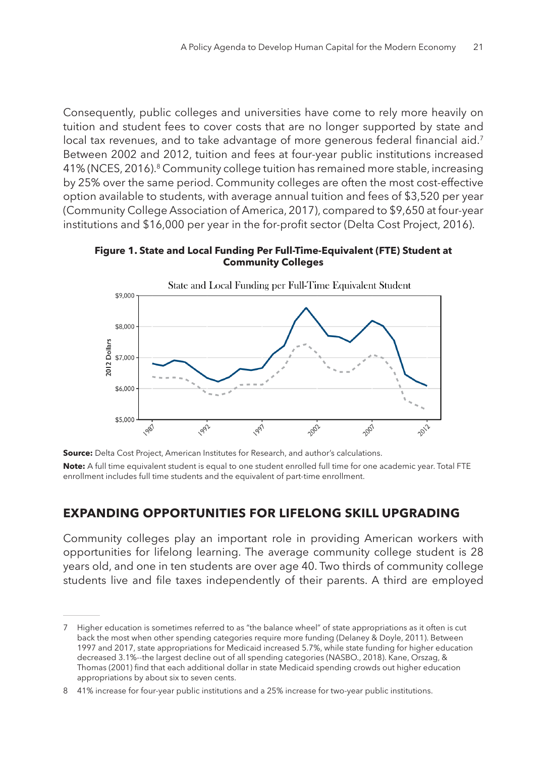Consequently, public colleges and universities have come to rely more heavily on tuition and student fees to cover costs that are no longer supported by state and local tax revenues, and to take advantage of more generous federal financial aid.<sup>7</sup> Between 2002 and 2012, tuition and fees at four-year public institutions increased 41% (NCES, 2016).8 Community college tuition has remained more stable, increasing by 25% over the same period. Community colleges are often the most cost-effective option available to students, with average annual tuition and fees of \$3,520 per year (Community College Association of America, 2017), compared to \$9,650 at four-year institutions and \$16,000 per year in the for-profit sector (Delta Cost Project, 2016).

**Figure 1. State and Local Funding Per Full-Time-Equivalent (FTE) Student at Community Colleges**





**Note:** A full time equivalent student is equal to one student enrolled full time for one academic year. Total FTE enrollment includes full time students and the equivalent of part-time enrollment.

#### **EXPANDING OPPORTUNITIES FOR LIFELONG SKILL UPGRADING**

Community colleges play an important role in providing American workers with opportunities for lifelong learning. The average community college student is 28 years old, and one in ten students are over age 40. Two thirds of community college students live and file taxes independently of their parents. A third are employed

Higher education is sometimes referred to as "the balance wheel" of state appropriations as it often is cut back the most when other spending categories require more funding (Delaney & Doyle, 2011). Between 1997 and 2017, state appropriations for Medicaid increased 5.7%, while state funding for higher education decreased 3.1%--the largest decline out of all spending categories (NASBO., 2018). Kane, Orszag, & Thomas (2001) find that each additional dollar in state Medicaid spending crowds out higher education appropriations by about six to seven cents.

<sup>8</sup> 41% increase for four-year public institutions and a 25% increase for two-year public institutions.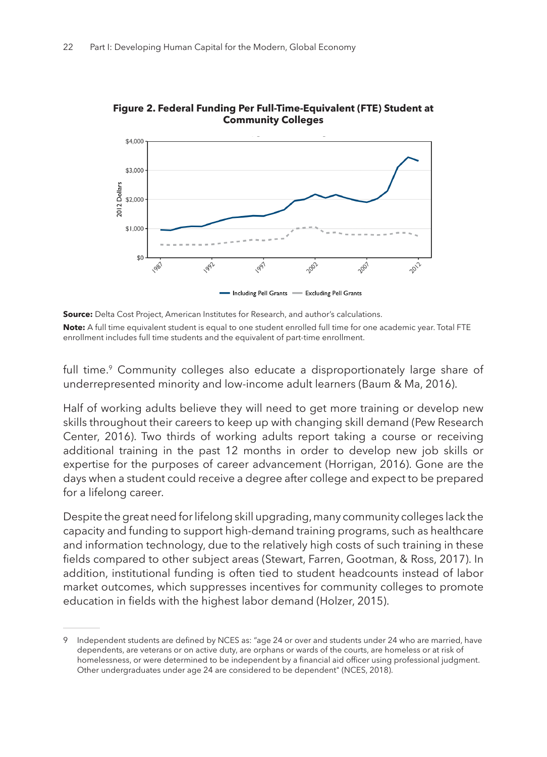

**Figure 2. Federal Funding Per Full-Time-Equivalent (FTE) Student at Community Colleges**

full time.<sup>9</sup> Community colleges also educate a disproportionately large share of underrepresented minority and low-income adult learners (Baum & Ma, 2016).

Half of working adults believe they will need to get more training or develop new skills throughout their careers to keep up with changing skill demand (Pew Research Center, 2016). Two thirds of working adults report taking a course or receiving additional training in the past 12 months in order to develop new job skills or expertise for the purposes of career advancement (Horrigan, 2016). Gone are the days when a student could receive a degree after college and expect to be prepared for a lifelong career.

Despite the great need for lifelong skill upgrading, many community colleges lack the capacity and funding to support high-demand training programs, such as healthcare and information technology, due to the relatively high costs of such training in these fields compared to other subject areas (Stewart, Farren, Gootman, & Ross, 2017). In addition, institutional funding is often tied to student headcounts instead of labor market outcomes, which suppresses incentives for community colleges to promote education in fields with the highest labor demand (Holzer, 2015).

**Source:** Delta Cost Project, American Institutes for Research, and author's calculations. **Note:** A full time equivalent student is equal to one student enrolled full time for one academic year. Total FTE enrollment includes full time students and the equivalent of part-time enrollment.

Independent students are defined by NCES as: "age 24 or over and students under 24 who are married, have dependents, are veterans or on active duty, are orphans or wards of the courts, are homeless or at risk of homelessness, or were determined to be independent by a financial aid officer using professional judgment. Other undergraduates under age 24 are considered to be dependent" (NCES, 2018).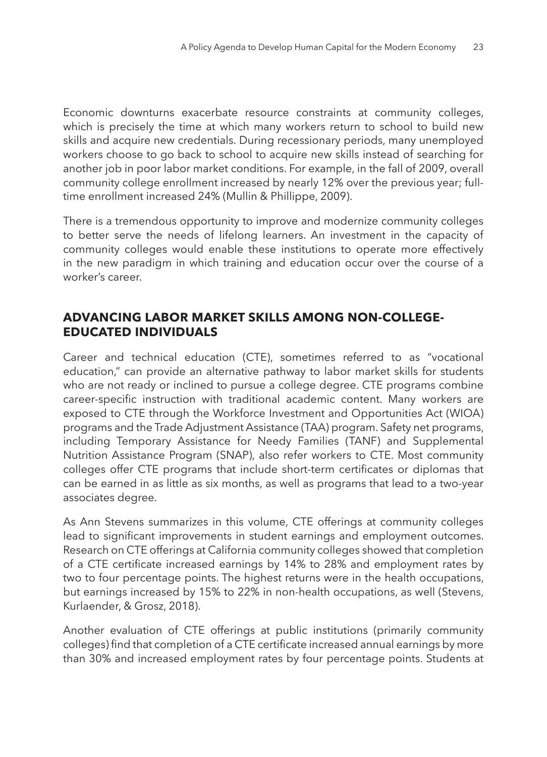Economic downturns exacerbate resource constraints at community colleges, which is precisely the time at which many workers return to school to build new skills and acquire new credentials. During recessionary periods, many unemployed workers choose to go back to school to acquire new skills instead of searching for another job in poor labor market conditions. For example, in the fall of 2009, overall community college enrollment increased by nearly 12% over the previous year; fulltime enrollment increased 24% (Mullin & Phillippe, 2009).

There is a tremendous opportunity to improve and modernize community colleges to better serve the needs of lifelong learners. An investment in the capacity of community colleges would enable these institutions to operate more effectively in the new paradigm in which training and education occur over the course of a worker's career.

#### **ADVANCING LABOR MARKET SKILLS AMONG NON-COLLEGE-EDUCATED INDIVIDUALS**

Career and technical education (CTE), sometimes referred to as "vocational education," can provide an alternative pathway to labor market skills for students who are not ready or inclined to pursue a college degree. CTE programs combine career-specific instruction with traditional academic content. Many workers are exposed to CTE through the Workforce Investment and Opportunities Act (WIOA) programs and the Trade Adjustment Assistance (TAA) program. Safety net programs, including Temporary Assistance for Needy Families (TANF) and Supplemental Nutrition Assistance Program (SNAP), also refer workers to CTE. Most community colleges offer CTE programs that include short-term certificates or diplomas that can be earned in as little as six months, as well as programs that lead to a two-year associates degree.

As Ann Stevens summarizes in this volume, CTE offerings at community colleges lead to significant improvements in student earnings and employment outcomes. Research on CTE offerings at California community colleges showed that completion of a CTE certificate increased earnings by 14% to 28% and employment rates by two to four percentage points. The highest returns were in the health occupations, but earnings increased by 15% to 22% in non-health occupations, as well (Stevens, Kurlaender, & Grosz, 2018).

Another evaluation of CTE offerings at public institutions (primarily community colleges) find that completion of a CTE certificate increased annual earnings by more than 30% and increased employment rates by four percentage points. Students at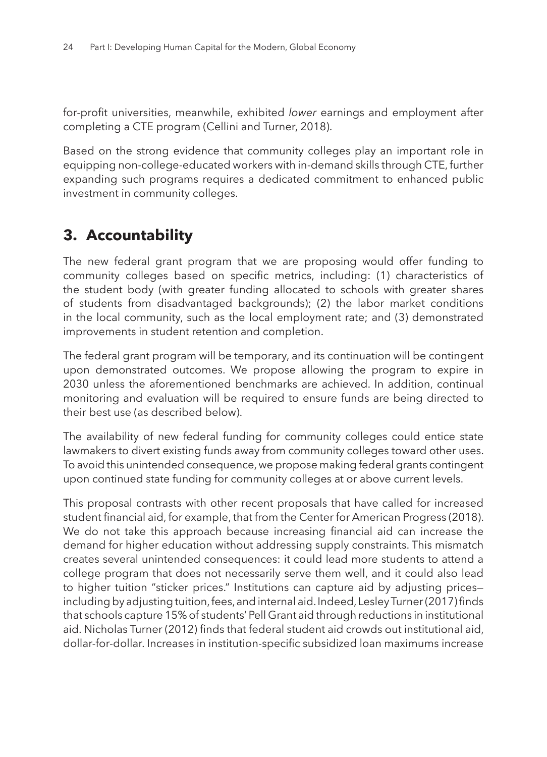for-profit universities, meanwhile, exhibited *lower* earnings and employment after completing a CTE program (Cellini and Turner, 2018).

Based on the strong evidence that community colleges play an important role in equipping non-college-educated workers with in-demand skills through CTE, further expanding such programs requires a dedicated commitment to enhanced public investment in community colleges.

# **3. Accountability**

The new federal grant program that we are proposing would offer funding to community colleges based on specific metrics, including: (1) characteristics of the student body (with greater funding allocated to schools with greater shares of students from disadvantaged backgrounds); (2) the labor market conditions in the local community, such as the local employment rate; and (3) demonstrated improvements in student retention and completion.

The federal grant program will be temporary, and its continuation will be contingent upon demonstrated outcomes. We propose allowing the program to expire in 2030 unless the aforementioned benchmarks are achieved. In addition, continual monitoring and evaluation will be required to ensure funds are being directed to their best use (as described below).

The availability of new federal funding for community colleges could entice state lawmakers to divert existing funds away from community colleges toward other uses. To avoid this unintended consequence, we propose making federal grants contingent upon continued state funding for community colleges at or above current levels.

This proposal contrasts with other recent proposals that have called for increased student financial aid, for example, that from the Center for American Progress (2018). We do not take this approach because increasing financial aid can increase the demand for higher education without addressing supply constraints. This mismatch creates several unintended consequences: it could lead more students to attend a college program that does not necessarily serve them well, and it could also lead to higher tuition "sticker prices." Institutions can capture aid by adjusting prices including by adjusting tuition, fees, and internal aid. Indeed, Lesley Turner (2017) finds that schools capture 15% of students' Pell Grant aid through reductions in institutional aid. Nicholas Turner (2012) finds that federal student aid crowds out institutional aid, dollar-for-dollar. Increases in institution-specific subsidized loan maximums increase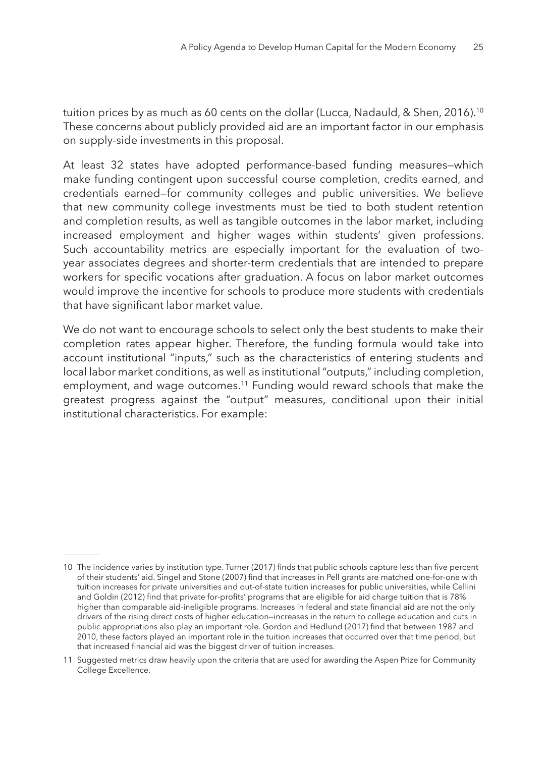tuition prices by as much as 60 cents on the dollar (Lucca, Nadauld, & Shen, 2016).10 These concerns about publicly provided aid are an important factor in our emphasis on supply-side investments in this proposal.

At least 32 states have adopted performance-based funding measures—which make funding contingent upon successful course completion, credits earned, and credentials earned—for community colleges and public universities. We believe that new community college investments must be tied to both student retention and completion results, as well as tangible outcomes in the labor market, including increased employment and higher wages within students' given professions. Such accountability metrics are especially important for the evaluation of twoyear associates degrees and shorter-term credentials that are intended to prepare workers for specific vocations after graduation. A focus on labor market outcomes would improve the incentive for schools to produce more students with credentials that have significant labor market value.

We do not want to encourage schools to select only the best students to make their completion rates appear higher. Therefore, the funding formula would take into account institutional "inputs," such as the characteristics of entering students and local labor market conditions, as well as institutional "outputs," including completion, employment, and wage outcomes.<sup>11</sup> Funding would reward schools that make the greatest progress against the "output" measures, conditional upon their initial institutional characteristics. For example:

<sup>10</sup> The incidence varies by institution type. Turner (2017) finds that public schools capture less than five percent of their students' aid. Singel and Stone (2007) find that increases in Pell grants are matched one-for-one with tuition increases for private universities and out-of-state tuition increases for public universities, while Cellini and Goldin (2012) find that private for-profits' programs that are eligible for aid charge tuition that is 78% higher than comparable aid-ineligible programs. Increases in federal and state financial aid are not the only drivers of the rising direct costs of higher education—increases in the return to college education and cuts in public appropriations also play an important role. Gordon and Hedlund (2017) find that between 1987 and 2010, these factors played an important role in the tuition increases that occurred over that time period, but that increased financial aid was the biggest driver of tuition increases.

<sup>11</sup> Suggested metrics draw heavily upon the criteria that are used for awarding the Aspen Prize for Community College Excellence.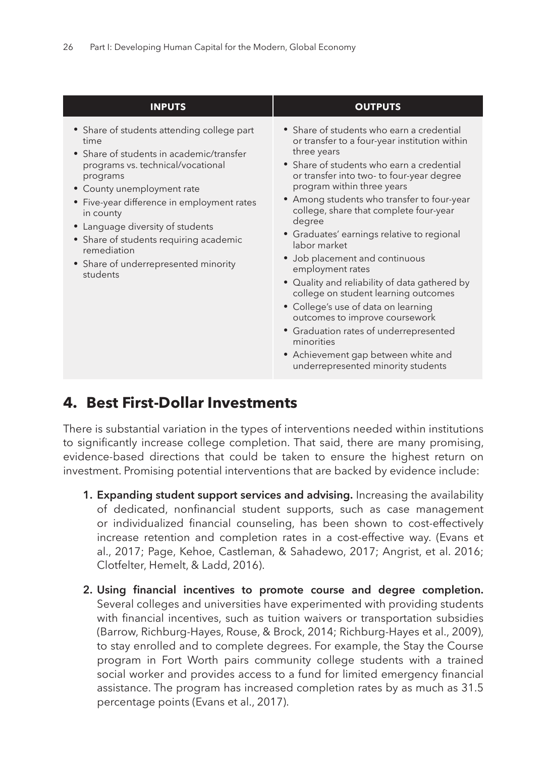| <b>INPUTS</b>                                                                                                                                                                                                                                                                                                                                                                             | <b>OUTPUTS</b>                                                                                                                                                                                                                                                                                                                                                                                                                                                                                                                                                                                                                                                                                                                                                 |
|-------------------------------------------------------------------------------------------------------------------------------------------------------------------------------------------------------------------------------------------------------------------------------------------------------------------------------------------------------------------------------------------|----------------------------------------------------------------------------------------------------------------------------------------------------------------------------------------------------------------------------------------------------------------------------------------------------------------------------------------------------------------------------------------------------------------------------------------------------------------------------------------------------------------------------------------------------------------------------------------------------------------------------------------------------------------------------------------------------------------------------------------------------------------|
| • Share of students attending college part<br>time<br>• Share of students in academic/transfer<br>programs vs. technical/vocational<br>programs<br>• County unemployment rate<br>• Five-year difference in employment rates<br>in county<br>• Language diversity of students<br>• Share of students requiring academic<br>remediation<br>• Share of underrepresented minority<br>students | • Share of students who earn a credential<br>or transfer to a four-year institution within<br>three years<br>• Share of students who earn a credential<br>or transfer into two- to four-year degree<br>program within three years<br>• Among students who transfer to four-year<br>college, share that complete four-year<br>degree<br>· Graduates' earnings relative to regional<br>labor market<br>• Job placement and continuous<br>employment rates<br>• Quality and reliability of data gathered by<br>college on student learning outcomes<br>• College's use of data on learning<br>outcomes to improve coursework<br>• Graduation rates of underrepresented<br>minorities<br>• Achievement gap between white and<br>underrepresented minority students |

## **4. Best First-Dollar Investments**

There is substantial variation in the types of interventions needed within institutions to significantly increase college completion. That said, there are many promising, evidence-based directions that could be taken to ensure the highest return on investment. Promising potential interventions that are backed by evidence include:

- **1. Expanding student support services and advising.** Increasing the availability of dedicated, nonfinancial student supports, such as case management or individualized financial counseling, has been shown to cost-effectively increase retention and completion rates in a cost-effective way. (Evans et al., 2017; Page, Kehoe, Castleman, & Sahadewo, 2017; Angrist, et al. 2016; Clotfelter, Hemelt, & Ladd, 2016).
- **2. Using financial incentives to promote course and degree completion.** Several colleges and universities have experimented with providing students with financial incentives, such as tuition waivers or transportation subsidies (Barrow, Richburg-Hayes, Rouse, & Brock, 2014; Richburg-Hayes et al., 2009), to stay enrolled and to complete degrees. For example, the Stay the Course program in Fort Worth pairs community college students with a trained social worker and provides access to a fund for limited emergency financial assistance. The program has increased completion rates by as much as 31.5 percentage points (Evans et al., 2017).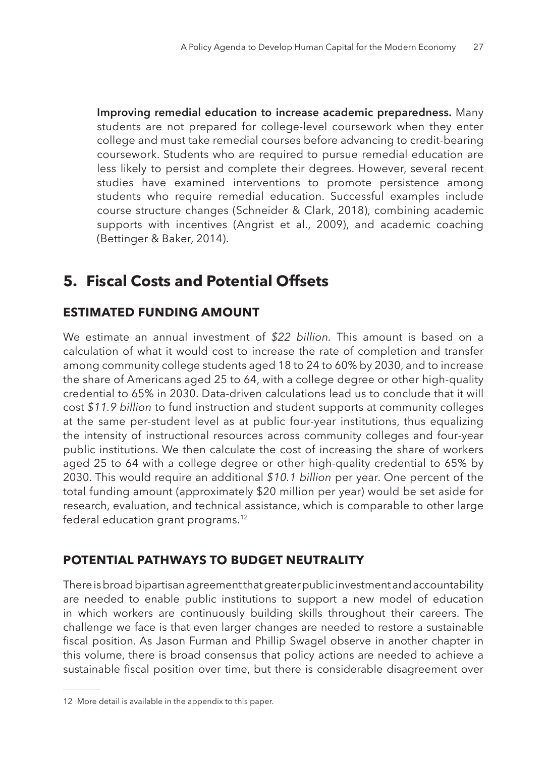**Improving remedial education to increase academic preparedness.** Many students are not prepared for college-level coursework when they enter college and must take remedial courses before advancing to credit-bearing coursework. Students who are required to pursue remedial education are less likely to persist and complete their degrees. However, several recent studies have examined interventions to promote persistence among students who require remedial education. Successful examples include course structure changes (Schneider & Clark, 2018), combining academic supports with incentives (Angrist et al., 2009), and academic coaching (Bettinger & Baker, 2014).

# **5. Fiscal Costs and Potential Offsets**

## **ESTIMATED FUNDING AMOUNT**

We estimate an annual investment of *\$22 billion.* This amount is based on a calculation of what it would cost to increase the rate of completion and transfer among community college students aged 18 to 24 to 60% by 2030, and to increase the share of Americans aged 25 to 64, with a college degree or other high-quality credential to 65% in 2030. Data-driven calculations lead us to conclude that it will cost *\$11.9 billion* to fund instruction and student supports at community colleges at the same per-student level as at public four-year institutions, thus equalizing the intensity of instructional resources across community colleges and four-year public institutions. We then calculate the cost of increasing the share of workers aged 25 to 64 with a college degree or other high-quality credential to 65% by 2030. This would require an additional *\$10.1 billion* per year. One percent of the total funding amount (approximately \$20 million per year) would be set aside for research, evaluation, and technical assistance, which is comparable to other large federal education grant programs.12

## **POTENTIAL PATHWAYS TO BUDGET NEUTRALITY**

There is broad bipartisan agreement that greater public investment and accountability are needed to enable public institutions to support a new model of education in which workers are continuously building skills throughout their careers. The challenge we face is that even larger changes are needed to restore a sustainable fiscal position. As Jason Furman and Phillip Swagel observe in another chapter in this volume, there is broad consensus that policy actions are needed to achieve a sustainable fiscal position over time, but there is considerable disagreement over

<sup>12</sup> More detail is available in the appendix to this paper.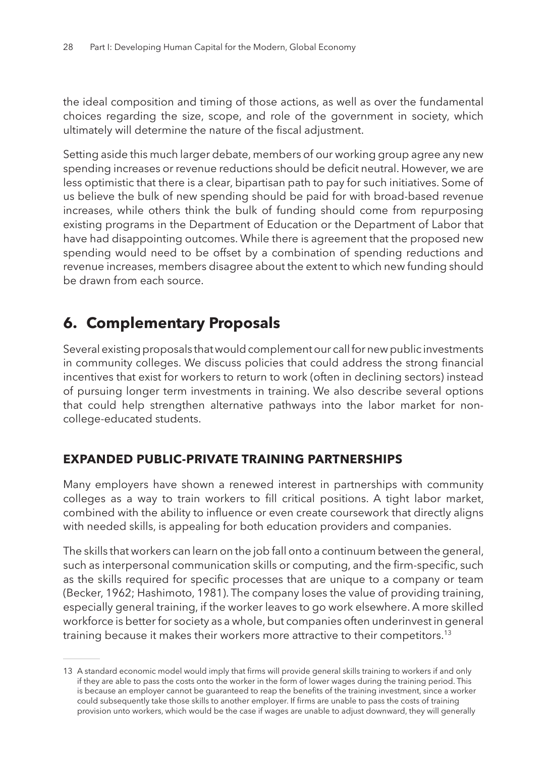the ideal composition and timing of those actions, as well as over the fundamental choices regarding the size, scope, and role of the government in society, which ultimately will determine the nature of the fiscal adjustment.

Setting aside this much larger debate, members of our working group agree any new spending increases or revenue reductions should be deficit neutral. However, we are less optimistic that there is a clear, bipartisan path to pay for such initiatives. Some of us believe the bulk of new spending should be paid for with broad-based revenue increases, while others think the bulk of funding should come from repurposing existing programs in the Department of Education or the Department of Labor that have had disappointing outcomes. While there is agreement that the proposed new spending would need to be offset by a combination of spending reductions and revenue increases, members disagree about the extent to which new funding should be drawn from each source.

## **6. Complementary Proposals**

Several existing proposals that would complement our call for new public investments in community colleges. We discuss policies that could address the strong financial incentives that exist for workers to return to work (often in declining sectors) instead of pursuing longer term investments in training. We also describe several options that could help strengthen alternative pathways into the labor market for noncollege-educated students.

#### **EXPANDED PUBLIC-PRIVATE TRAINING PARTNERSHIPS**

Many employers have shown a renewed interest in partnerships with community colleges as a way to train workers to fill critical positions. A tight labor market, combined with the ability to influence or even create coursework that directly aligns with needed skills, is appealing for both education providers and companies.

The skills that workers can learn on the job fall onto a continuum between the general, such as interpersonal communication skills or computing, and the firm-specific, such as the skills required for specific processes that are unique to a company or team (Becker, 1962; Hashimoto, 1981). The company loses the value of providing training, especially general training, if the worker leaves to go work elsewhere. A more skilled workforce is better for society as a whole, but companies often underinvest in general training because it makes their workers more attractive to their competitors.13

<sup>13</sup> A standard economic model would imply that firms will provide general skills training to workers if and only if they are able to pass the costs onto the worker in the form of lower wages during the training period. This is because an employer cannot be guaranteed to reap the benefits of the training investment, since a worker could subsequently take those skills to another employer. If firms are unable to pass the costs of training provision unto workers, which would be the case if wages are unable to adjust downward, they will generally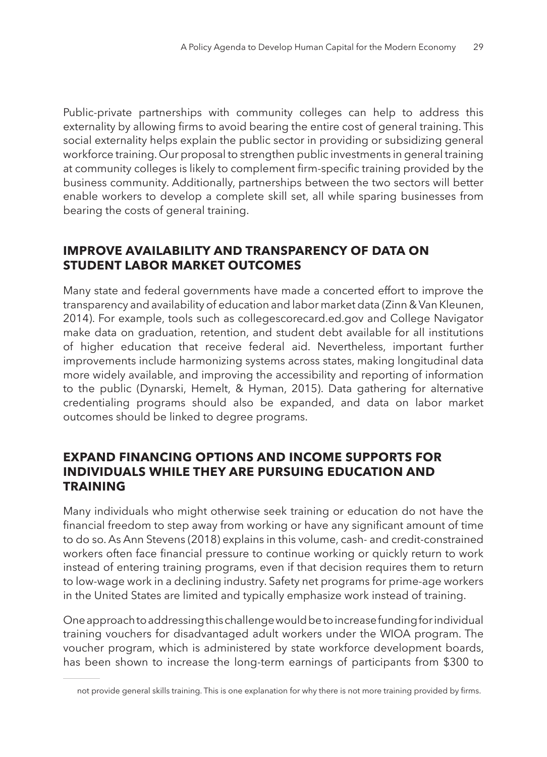Public-private partnerships with community colleges can help to address this externality by allowing firms to avoid bearing the entire cost of general training. This social externality helps explain the public sector in providing or subsidizing general workforce training. Our proposal to strengthen public investments in general training at community colleges is likely to complement firm-specific training provided by the business community. Additionally, partnerships between the two sectors will better enable workers to develop a complete skill set, all while sparing businesses from bearing the costs of general training.

#### **IMPROVE AVAILABILITY AND TRANSPARENCY OF DATA ON STUDENT LABOR MARKET OUTCOMES**

Many state and federal governments have made a concerted effort to improve the transparency and availability of education and labor market data (Zinn & Van Kleunen, 2014). For example, tools such as collegescorecard.ed.gov and College Navigator make data on graduation, retention, and student debt available for all institutions of higher education that receive federal aid. Nevertheless, important further improvements include harmonizing systems across states, making longitudinal data more widely available, and improving the accessibility and reporting of information to the public (Dynarski, Hemelt, & Hyman, 2015). Data gathering for alternative credentialing programs should also be expanded, and data on labor market outcomes should be linked to degree programs.

#### **EXPAND FINANCING OPTIONS AND INCOME SUPPORTS FOR INDIVIDUALS WHILE THEY ARE PURSUING EDUCATION AND TRAINING**

Many individuals who might otherwise seek training or education do not have the financial freedom to step away from working or have any significant amount of time to do so. As Ann Stevens (2018) explains in this volume, cash- and credit-constrained workers often face financial pressure to continue working or quickly return to work instead of entering training programs, even if that decision requires them to return to low-wage work in a declining industry. Safety net programs for prime-age workers in the United States are limited and typically emphasize work instead of training.

One approach to addressing this challenge would be to increase funding for individual training vouchers for disadvantaged adult workers under the WIOA program. The voucher program, which is administered by state workforce development boards, has been shown to increase the long-term earnings of participants from \$300 to

not provide general skills training. This is one explanation for why there is not more training provided by firms.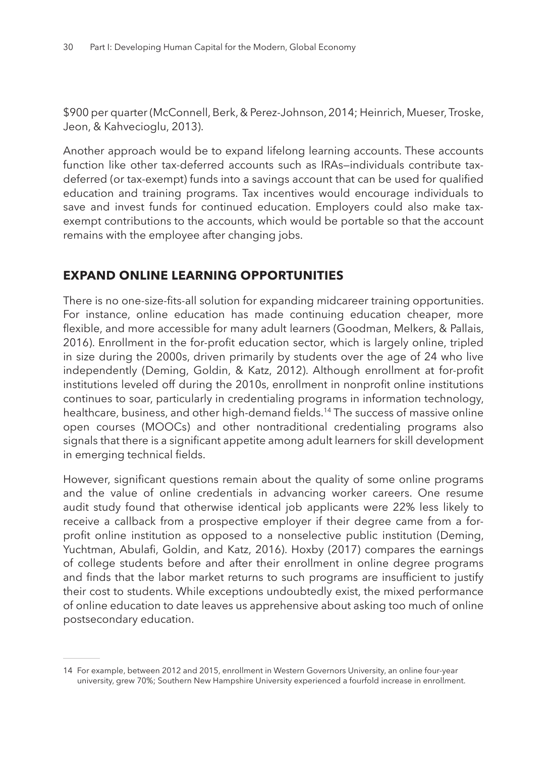\$900 per quarter (McConnell, Berk, & Perez-Johnson, 2014; Heinrich, Mueser, Troske, Jeon, & Kahvecioglu, 2013).

Another approach would be to expand lifelong learning accounts. These accounts function like other tax-deferred accounts such as IRAs—individuals contribute taxdeferred (or tax-exempt) funds into a savings account that can be used for qualified education and training programs. Tax incentives would encourage individuals to save and invest funds for continued education. Employers could also make taxexempt contributions to the accounts, which would be portable so that the account remains with the employee after changing jobs.

#### **EXPAND ONLINE LEARNING OPPORTUNITIES**

There is no one-size-fits-all solution for expanding midcareer training opportunities. For instance, online education has made continuing education cheaper, more flexible, and more accessible for many adult learners (Goodman, Melkers, & Pallais, 2016). Enrollment in the for-profit education sector, which is largely online, tripled in size during the 2000s, driven primarily by students over the age of 24 who live independently (Deming, Goldin, & Katz, 2012). Although enrollment at for-profit institutions leveled off during the 2010s, enrollment in nonprofit online institutions continues to soar, particularly in credentialing programs in information technology, healthcare, business, and other high-demand fields.14 The success of massive online open courses (MOOCs) and other nontraditional credentialing programs also signals that there is a significant appetite among adult learners for skill development in emerging technical fields.

However, significant questions remain about the quality of some online programs and the value of online credentials in advancing worker careers. One resume audit study found that otherwise identical job applicants were 22% less likely to receive a callback from a prospective employer if their degree came from a forprofit online institution as opposed to a nonselective public institution (Deming, Yuchtman, Abulafi, Goldin, and Katz, 2016). Hoxby (2017) compares the earnings of college students before and after their enrollment in online degree programs and finds that the labor market returns to such programs are insufficient to justify their cost to students. While exceptions undoubtedly exist, the mixed performance of online education to date leaves us apprehensive about asking too much of online postsecondary education.

<sup>14</sup> For example, between 2012 and 2015, enrollment in Western Governors University, an online four-year university, grew 70%; Southern New Hampshire University experienced a fourfold increase in enrollment.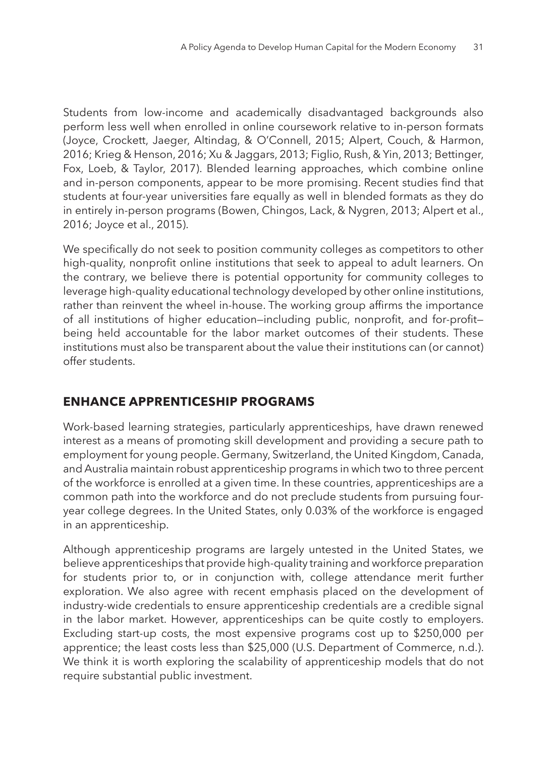Students from low-income and academically disadvantaged backgrounds also perform less well when enrolled in online coursework relative to in-person formats (Joyce, Crockett, Jaeger, Altindag, & O'Connell, 2015; Alpert, Couch, & Harmon, 2016; Krieg & Henson, 2016; Xu & Jaggars, 2013; Figlio, Rush, & Yin, 2013; Bettinger, Fox, Loeb, & Taylor, 2017). Blended learning approaches, which combine online and in-person components, appear to be more promising. Recent studies find that students at four-year universities fare equally as well in blended formats as they do in entirely in-person programs (Bowen, Chingos, Lack, & Nygren, 2013; Alpert et al., 2016; Joyce et al., 2015).

We specifically do not seek to position community colleges as competitors to other high-quality, nonprofit online institutions that seek to appeal to adult learners. On the contrary, we believe there is potential opportunity for community colleges to leverage high-quality educational technology developed by other online institutions, rather than reinvent the wheel in-house. The working group affirms the importance of all institutions of higher education—including public, nonprofit, and for-profit being held accountable for the labor market outcomes of their students. These institutions must also be transparent about the value their institutions can (or cannot) offer students.

#### **ENHANCE APPRENTICESHIP PROGRAMS**

Work-based learning strategies, particularly apprenticeships, have drawn renewed interest as a means of promoting skill development and providing a secure path to employment for young people. Germany, Switzerland, the United Kingdom, Canada, and Australia maintain robust apprenticeship programs in which two to three percent of the workforce is enrolled at a given time. In these countries, apprenticeships are a common path into the workforce and do not preclude students from pursuing fouryear college degrees. In the United States, only 0.03% of the workforce is engaged in an apprenticeship.

Although apprenticeship programs are largely untested in the United States, we believe apprenticeships that provide high-quality training and workforce preparation for students prior to, or in conjunction with, college attendance merit further exploration. We also agree with recent emphasis placed on the development of industry-wide credentials to ensure apprenticeship credentials are a credible signal in the labor market. However, apprenticeships can be quite costly to employers. Excluding start-up costs, the most expensive programs cost up to \$250,000 per apprentice; the least costs less than \$25,000 (U.S. Department of Commerce, n.d.). We think it is worth exploring the scalability of apprenticeship models that do not require substantial public investment.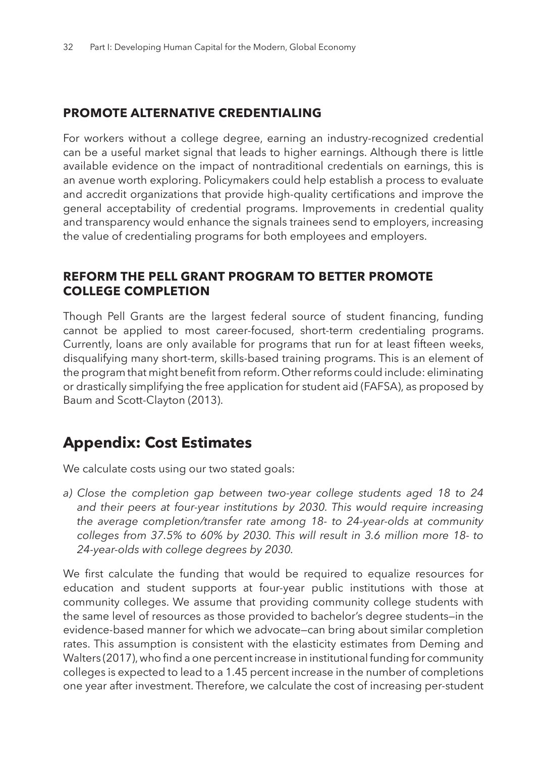## **PROMOTE ALTERNATIVE CREDENTIALING**

For workers without a college degree, earning an industry-recognized credential can be a useful market signal that leads to higher earnings. Although there is little available evidence on the impact of nontraditional credentials on earnings, this is an avenue worth exploring. Policymakers could help establish a process to evaluate and accredit organizations that provide high-quality certifications and improve the general acceptability of credential programs. Improvements in credential quality and transparency would enhance the signals trainees send to employers, increasing the value of credentialing programs for both employees and employers.

#### **REFORM THE PELL GRANT PROGRAM TO BETTER PROMOTE COLLEGE COMPLETION**

Though Pell Grants are the largest federal source of student financing, funding cannot be applied to most career-focused, short-term credentialing programs. Currently, loans are only available for programs that run for at least fifteen weeks, disqualifying many short-term, skills-based training programs. This is an element of the program that might benefit from reform. Other reforms could include: eliminating or drastically simplifying the free application for student aid (FAFSA), as proposed by Baum and Scott-Clayton (2013).

## **Appendix: Cost Estimates**

We calculate costs using our two stated goals:

*a) Close the completion gap between two-year college students aged 18 to 24*  and their peers at four-year institutions by 2030. This would require increasing *the average completion/transfer rate among 18- to 24-year-olds at community colleges from 37.5% to 60% by 2030. This will result in 3.6 million more 18- to 24-year-olds with college degrees by 2030.* 

We first calculate the funding that would be required to equalize resources for education and student supports at four-year public institutions with those at community colleges. We assume that providing community college students with the same level of resources as those provided to bachelor's degree students—in the evidence-based manner for which we advocate—can bring about similar completion rates. This assumption is consistent with the elasticity estimates from Deming and Walters (2017), who find a one percent increase in institutional funding for community colleges is expected to lead to a 1.45 percent increase in the number of completions one year after investment. Therefore, we calculate the cost of increasing per-student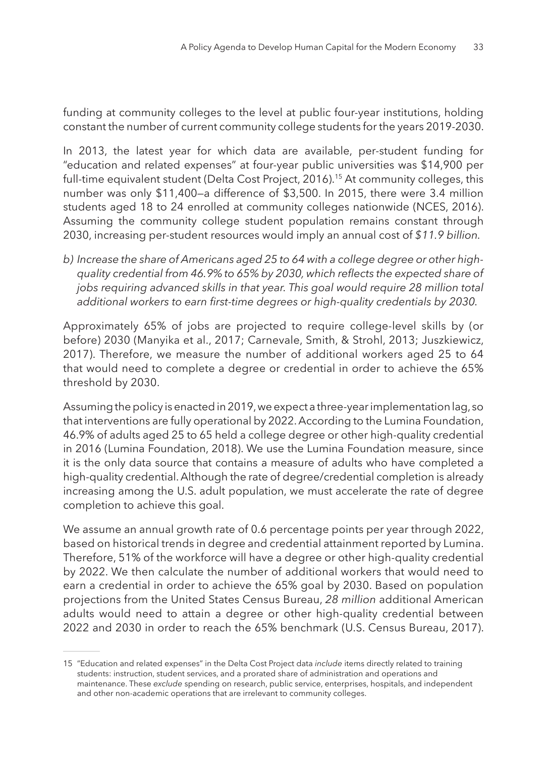funding at community colleges to the level at public four-year institutions, holding constant the number of current community college students for the years 2019-2030.

In 2013, the latest year for which data are available, per-student funding for "education and related expenses" at four-year public universities was \$14,900 per full-time equivalent student (Delta Cost Project, 2016).<sup>15</sup> At community colleges, this number was only \$11,400—a difference of \$3,500. In 2015, there were 3.4 million students aged 18 to 24 enrolled at community colleges nationwide (NCES, 2016). Assuming the community college student population remains constant through 2030, increasing per-student resources would imply an annual cost of *\$11.9 billion.*

*b) Increase the share of Americans aged 25 to 64 with a college degree or other highquality credential from 46.9% to 65% by 2030, which reflects the expected share of jobs requiring advanced skills in that year. This goal would require 28 million total additional workers to earn first-time degrees or high-quality credentials by 2030.* 

Approximately 65% of jobs are projected to require college-level skills by (or before) 2030 (Manyika et al., 2017; Carnevale, Smith, & Strohl, 2013; Juszkiewicz, 2017). Therefore, we measure the number of additional workers aged 25 to 64 that would need to complete a degree or credential in order to achieve the 65% threshold by 2030.

Assuming the policy is enacted in 2019, we expect a three-year implementation lag, so that interventions are fully operational by 2022. According to the Lumina Foundation, 46.9% of adults aged 25 to 65 held a college degree or other high-quality credential in 2016 (Lumina Foundation, 2018). We use the Lumina Foundation measure, since it is the only data source that contains a measure of adults who have completed a high-quality credential. Although the rate of degree/credential completion is already increasing among the U.S. adult population, we must accelerate the rate of degree completion to achieve this goal.

We assume an annual growth rate of 0.6 percentage points per year through 2022, based on historical trends in degree and credential attainment reported by Lumina. Therefore, 51% of the workforce will have a degree or other high-quality credential by 2022. We then calculate the number of additional workers that would need to earn a credential in order to achieve the 65% goal by 2030. Based on population projections from the United States Census Bureau, *28 million* additional American adults would need to attain a degree or other high-quality credential between 2022 and 2030 in order to reach the 65% benchmark (U.S. Census Bureau, 2017).

<sup>15</sup> "Education and related expenses" in the Delta Cost Project data *include* items directly related to training students: instruction, student services, and a prorated share of administration and operations and maintenance. These *exclude* spending on research, public service, enterprises, hospitals, and independent and other non-academic operations that are irrelevant to community colleges.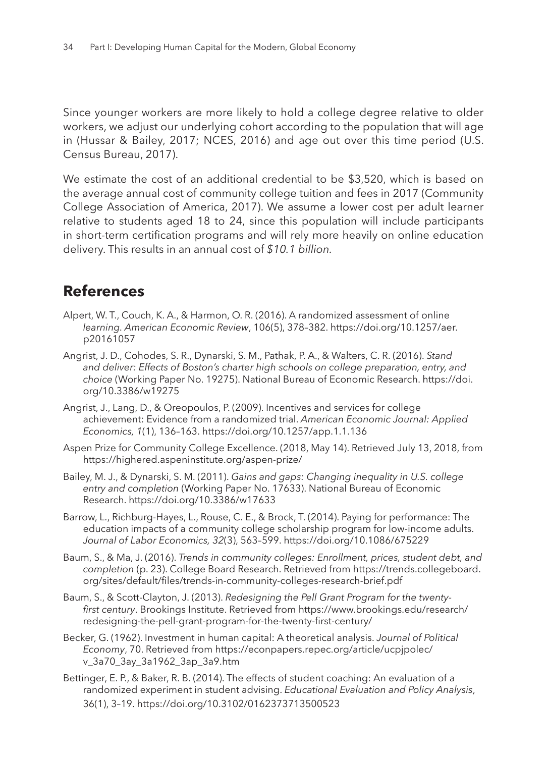Since younger workers are more likely to hold a college degree relative to older workers, we adjust our underlying cohort according to the population that will age in (Hussar & Bailey, 2017; NCES, 2016) and age out over this time period (U.S. Census Bureau, 2017).

We estimate the cost of an additional credential to be \$3,520, which is based on the average annual cost of community college tuition and fees in 2017 (Community College Association of America, 2017). We assume a lower cost per adult learner relative to students aged 18 to 24, since this population will include participants in short-term certification programs and will rely more heavily on online education delivery. This results in an annual cost of *\$10.1 billion.* 

## **References**

- Alpert, W. T., Couch, K. A., & Harmon, O. R. (2016). A randomized assessment of online *learning. American Economic Review*, 106(5), 378–382. https://doi.org/10.1257/aer. p20161057
- Angrist, J. D., Cohodes, S. R., Dynarski, S. M., Pathak, P. A., & Walters, C. R. (2016). *Stand and deliver: Effects of Boston's charter high schools on college preparation, entry, and choice* (Working Paper No. 19275). National Bureau of Economic Research. https://doi. org/10.3386/w19275
- Angrist, J., Lang, D., & Oreopoulos, P. (2009). Incentives and services for college achievement: Evidence from a randomized trial. *American Economic Journal: Applied Economics, 1*(1), 136–163. https://doi.org/10.1257/app.1.1.136
- Aspen Prize for Community College Excellence. (2018, May 14). Retrieved July 13, 2018, from https://highered.aspeninstitute.org/aspen-prize/
- Bailey, M. J., & Dynarski, S. M. (2011). *Gains and gaps: Changing inequality in U.S. college entry and completion* (Working Paper No. 17633). National Bureau of Economic Research. https://doi.org/10.3386/w17633
- Barrow, L., Richburg-Hayes, L., Rouse, C. E., & Brock, T. (2014). Paying for performance: The education impacts of a community college scholarship program for low-income adults. *Journal of Labor Economics, 32*(3), 563–599. https://doi.org/10.1086/675229
- Baum, S., & Ma, J. (2016). *Trends in community colleges: Enrollment, prices, student debt, and completion* (p. 23). College Board Research. Retrieved from https://trends.collegeboard. org/sites/default/files/trends-in-community-colleges-research-brief.pdf
- Baum, S., & Scott-Clayton, J. (2013). *Redesigning the Pell Grant Program for the twentyfirst century*. Brookings Institute. Retrieved from https://www.brookings.edu/research/ redesigning-the-pell-grant-program-for-the-twenty-first-century/
- Becker, G. (1962). Investment in human capital: A theoretical analysis. *Journal of Political Economy*, 70. Retrieved from https://econpapers.repec.org/article/ucpjpolec/ v\_3a70\_3ay\_3a1962\_3ap\_3a9.htm
- Bettinger, E. P., & Baker, R. B. (2014). The effects of student coaching: An evaluation of a randomized experiment in student advising. *Educational Evaluation and Policy Analysis*, 36(1), 3–19. https://doi.org/10.3102/0162373713500523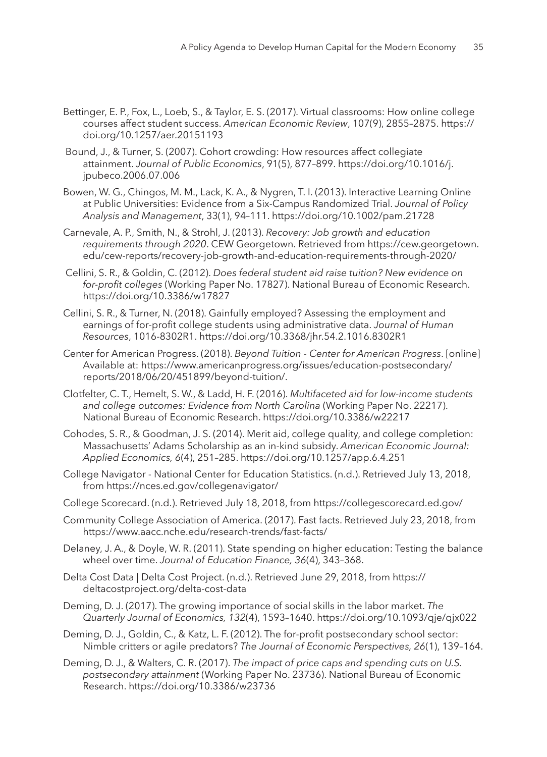- Bettinger, E. P., Fox, L., Loeb, S., & Taylor, E. S. (2017). Virtual classrooms: How online college courses affect student success. *American Economic Review*, 107(9), 2855–2875. https:// doi.org/10.1257/aer.20151193
- Bound, J., & Turner, S. (2007). Cohort crowding: How resources affect collegiate attainment. *Journal of Public Economics*, 91(5), 877–899. https://doi.org/10.1016/j. jpubeco.2006.07.006
- Bowen, W. G., Chingos, M. M., Lack, K. A., & Nygren, T. I. (2013). Interactive Learning Online at Public Universities: Evidence from a Six-Campus Randomized Trial. *Journal of Policy Analysis and Management*, 33(1), 94–111. https://doi.org/10.1002/pam.21728
- Carnevale, A. P., Smith, N., & Strohl, J. (2013). *Recovery: Job growth and education requirements through 2020*. CEW Georgetown. Retrieved from https://cew.georgetown. edu/cew-reports/recovery-job-growth-and-education-requirements-through-2020/
- Cellini, S. R., & Goldin, C. (2012). *Does federal student aid raise tuition? New evidence on for-profit colleges* (Working Paper No. 17827). National Bureau of Economic Research. https://doi.org/10.3386/w17827
- Cellini, S. R., & Turner, N. (2018). Gainfully employed? Assessing the employment and earnings of for-profit college students using administrative data. *Journal of Human Resources*, 1016-8302R1. https://doi.org/10.3368/jhr.54.2.1016.8302R1
- Center for American Progress. (2018). *Beyond Tuition Center for American Progress*. [online] Available at: https://www.americanprogress.org/issues/education-postsecondary/ reports/2018/06/20/451899/beyond-tuition/.
- Clotfelter, C. T., Hemelt, S. W., & Ladd, H. F. (2016). *Multifaceted aid for low-income students and college outcomes: Evidence from North Carolina* (Working Paper No. 22217). National Bureau of Economic Research. https://doi.org/10.3386/w22217
- Cohodes, S. R., & Goodman, J. S. (2014). Merit aid, college quality, and college completion: Massachusetts' Adams Scholarship as an in-kind subsidy. *American Economic Journal: Applied Economics, 6*(4), 251–285. https://doi.org/10.1257/app.6.4.251
- College Navigator National Center for Education Statistics. (n.d.). Retrieved July 13, 2018, from https://nces.ed.gov/collegenavigator/
- College Scorecard. (n.d.). Retrieved July 18, 2018, from https://collegescorecard.ed.gov/
- Community College Association of America. (2017). Fast facts. Retrieved July 23, 2018, from https://www.aacc.nche.edu/research-trends/fast-facts/
- Delaney, J. A., & Doyle, W. R. (2011). State spending on higher education: Testing the balance wheel over time. *Journal of Education Finance, 36*(4), 343–368.
- Delta Cost Data | Delta Cost Project. (n.d.). Retrieved June 29, 2018, from https:// deltacostproject.org/delta-cost-data
- Deming, D. J. (2017). The growing importance of social skills in the labor market. *The Quarterly Journal of Economics, 132*(4), 1593–1640. https://doi.org/10.1093/qje/qjx022
- Deming, D. J., Goldin, C., & Katz, L. F. (2012). The for-profit postsecondary school sector: Nimble critters or agile predators? *The Journal of Economic Perspectives, 26*(1), 139–164.
- Deming, D. J., & Walters, C. R. (2017). *The impact of price caps and spending cuts on U.S. postsecondary attainment* (Working Paper No. 23736). National Bureau of Economic Research. https://doi.org/10.3386/w23736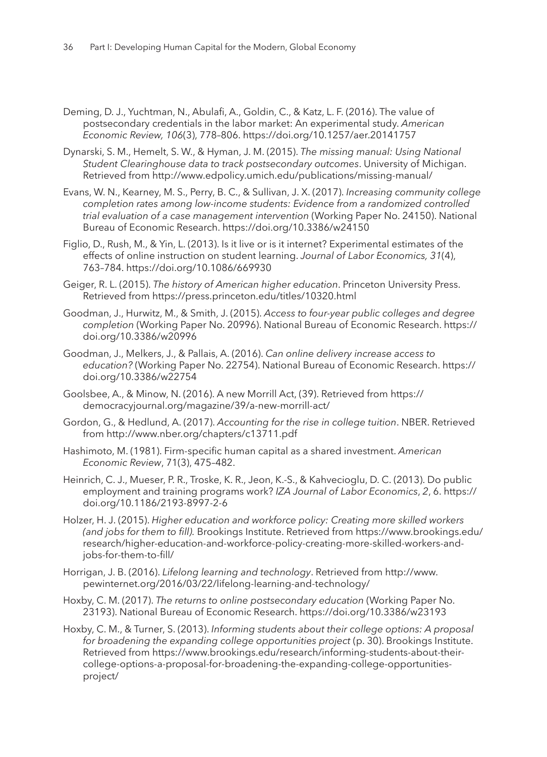- Deming, D. J., Yuchtman, N., Abulafi, A., Goldin, C., & Katz, L. F. (2016). The value of postsecondary credentials in the labor market: An experimental study. *American Economic Review, 106*(3), 778–806. https://doi.org/10.1257/aer.20141757
- Dynarski, S. M., Hemelt, S. W., & Hyman, J. M. (2015). *The missing manual: Using National Student Clearinghouse data to track postsecondary outcomes*. University of Michigan. Retrieved from http://www.edpolicy.umich.edu/publications/missing-manual/
- Evans, W. N., Kearney, M. S., Perry, B. C., & Sullivan, J. X. (2017). *Increasing community college completion rates among low-income students: Evidence from a randomized controlled trial evaluation of a case management intervention* (Working Paper No. 24150). National Bureau of Economic Research. https://doi.org/10.3386/w24150
- Figlio, D., Rush, M., & Yin, L. (2013). Is it live or is it internet? Experimental estimates of the effects of online instruction on student learning. *Journal of Labor Economics, 31*(4), 763–784. https://doi.org/10.1086/669930
- Geiger, R. L. (2015). *The history of American higher education*. Princeton University Press. Retrieved from https://press.princeton.edu/titles/10320.html
- Goodman, J., Hurwitz, M., & Smith, J. (2015). *Access to four-year public colleges and degree completion* (Working Paper No. 20996). National Bureau of Economic Research. https:// doi.org/10.3386/w20996
- Goodman, J., Melkers, J., & Pallais, A. (2016). *Can online delivery increase access to education?* (Working Paper No. 22754). National Bureau of Economic Research. https:// doi.org/10.3386/w22754
- Goolsbee, A., & Minow, N. (2016). A new Morrill Act, (39). Retrieved from https:// democracyjournal.org/magazine/39/a-new-morrill-act/
- Gordon, G., & Hedlund, A. (2017). *Accounting for the rise in college tuition*. NBER. Retrieved from http://www.nber.org/chapters/c13711.pdf
- Hashimoto, M. (1981). Firm-specific human capital as a shared investment. *American Economic Review*, 71(3), 475–482.
- Heinrich, C. J., Mueser, P. R., Troske, K. R., Jeon, K.-S., & Kahvecioglu, D. C. (2013). Do public employment and training programs work? *IZA Journal of Labor Economics*, *2*, 6. https:// doi.org/10.1186/2193-8997-2-6
- Holzer, H. J. (2015). *Higher education and workforce policy: Creating more skilled workers (and jobs for them to fill).* Brookings Institute. Retrieved from https://www.brookings.edu/ research/higher-education-and-workforce-policy-creating-more-skilled-workers-andjobs-for-them-to-fill/
- Horrigan, J. B. (2016). *Lifelong learning and technology*. Retrieved from http://www. pewinternet.org/2016/03/22/lifelong-learning-and-technology/
- Hoxby, C. M. (2017). *The returns to online postsecondary education* (Working Paper No. 23193). National Bureau of Economic Research. https://doi.org/10.3386/w23193
- Hoxby, C. M., & Turner, S. (2013). *Informing students about their college options: A proposal for broadening the expanding college opportunities project* (p. 30). Brookings Institute. Retrieved from https://www.brookings.edu/research/informing-students-about-theircollege-options-a-proposal-for-broadening-the-expanding-college-opportunitiesproject/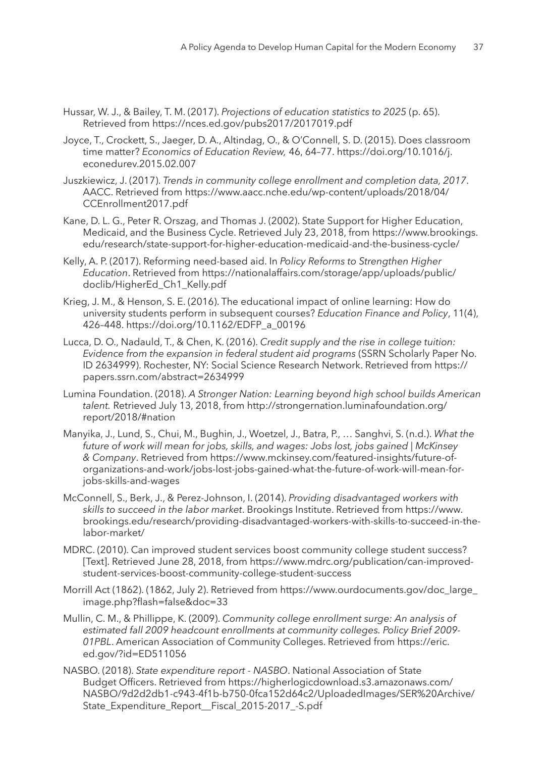- Hussar, W. J., & Bailey, T. M. (2017). *Projections of education statistics to 2025* (p. 65). Retrieved from https://nces.ed.gov/pubs2017/2017019.pdf
- Joyce, T., Crockett, S., Jaeger, D. A., Altindag, O., & O'Connell, S. D. (2015). Does classroom time matter? *Economics of Education Review,* 46, 64–77. https://doi.org/10.1016/j. econedurev.2015.02.007
- Juszkiewicz, J. (2017). *Trends in community college enrollment and completion data, 2017*. AACC. Retrieved from https://www.aacc.nche.edu/wp-content/uploads/2018/04/ CCEnrollment2017.pdf
- Kane, D. L. G., Peter R. Orszag, and Thomas J. (2002). State Support for Higher Education, Medicaid, and the Business Cycle. Retrieved July 23, 2018, from https://www.brookings. edu/research/state-support-for-higher-education-medicaid-and-the-business-cycle/
- Kelly, A. P. (2017). Reforming need-based aid. In *Policy Reforms to Strengthen Higher Education*. Retrieved from https://nationalaffairs.com/storage/app/uploads/public/ doclib/HigherEd\_Ch1\_Kelly.pdf
- Krieg, J. M., & Henson, S. E. (2016). The educational impact of online learning: How do university students perform in subsequent courses? *Education Finance and Policy*, 11(4), 426–448. https://doi.org/10.1162/EDFP\_a\_00196
- Lucca, D. O., Nadauld, T., & Chen, K. (2016). *Credit supply and the rise in college tuition: Evidence from the expansion in federal student aid programs* (SSRN Scholarly Paper No. ID 2634999). Rochester, NY: Social Science Research Network. Retrieved from https:// papers.ssrn.com/abstract=2634999
- Lumina Foundation. (2018). *A Stronger Nation: Learning beyond high school builds American talent.* Retrieved July 13, 2018, from http://strongernation.luminafoundation.org/ report/2018/#nation
- Manyika, J., Lund, S., Chui, M., Bughin, J., Woetzel, J., Batra, P., … Sanghvi, S. (n.d.). *What the future of work will mean for jobs, skills, and wages: Jobs lost, jobs gained | McKinsey & Company*. Retrieved from https://www.mckinsey.com/featured-insights/future-oforganizations-and-work/jobs-lost-jobs-gained-what-the-future-of-work-will-mean-forjobs-skills-and-wages
- McConnell, S., Berk, J., & Perez-Johnson, I. (2014). *Providing disadvantaged workers with skills to succeed in the labor market*. Brookings Institute. Retrieved from https://www. brookings.edu/research/providing-disadvantaged-workers-with-skills-to-succeed-in-thelabor-market/
- MDRC. (2010). Can improved student services boost community college student success? [Text]. Retrieved June 28, 2018, from https://www.mdrc.org/publication/can-improvedstudent-services-boost-community-college-student-success
- Morrill Act (1862). (1862, July 2). Retrieved from https://www.ourdocuments.gov/doc\_large\_ image.php?flash=false&doc=33
- Mullin, C. M., & Phillippe, K. (2009). *Community college enrollment surge: An analysis of estimated fall 2009 headcount enrollments at community colleges. Policy Brief 2009- 01PBL*. American Association of Community Colleges. Retrieved from https://eric. ed.gov/?id=ED511056
- NASBO. (2018). *State expenditure report NASBO*. National Association of State Budget Officers. Retrieved from https://higherlogicdownload.s3.amazonaws.com/ NASBO/9d2d2db1-c943-4f1b-b750-0fca152d64c2/UploadedImages/SER%20Archive/ State\_Expenditure\_Report\_Fiscal\_2015-2017\_-S.pdf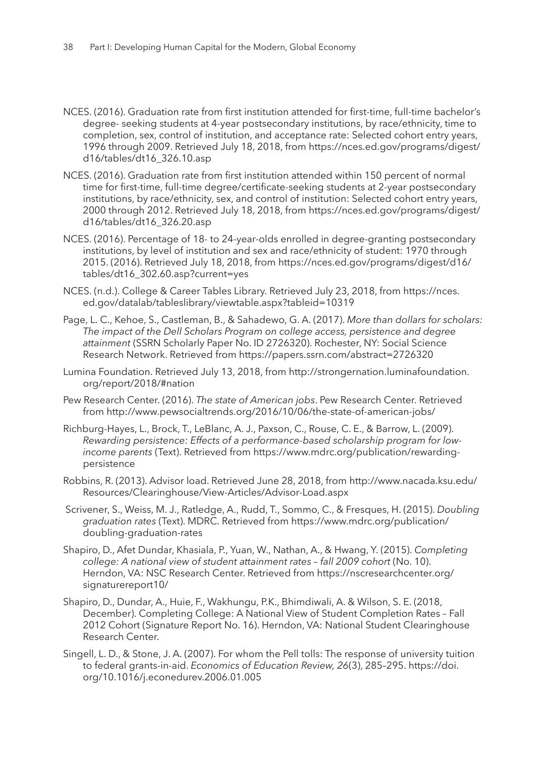- NCES. (2016). Graduation rate from first institution attended for first-time, full-time bachelor's degree- seeking students at 4-year postsecondary institutions, by race/ethnicity, time to completion, sex, control of institution, and acceptance rate: Selected cohort entry years, 1996 through 2009. Retrieved July 18, 2018, from https://nces.ed.gov/programs/digest/ d16/tables/dt16\_326.10.asp
- NCES. (2016). Graduation rate from first institution attended within 150 percent of normal time for first-time, full-time degree/certificate-seeking students at 2-year postsecondary institutions, by race/ethnicity, sex, and control of institution: Selected cohort entry years, 2000 through 2012. Retrieved July 18, 2018, from https://nces.ed.gov/programs/digest/ d16/tables/dt16\_326.20.asp
- NCES. (2016). Percentage of 18- to 24-year-olds enrolled in degree-granting postsecondary institutions, by level of institution and sex and race/ethnicity of student: 1970 through 2015. (2016). Retrieved July 18, 2018, from https://nces.ed.gov/programs/digest/d16/ tables/dt16\_302.60.asp?current=yes
- NCES. (n.d.). College & Career Tables Library. Retrieved July 23, 2018, from https://nces. ed.gov/datalab/tableslibrary/viewtable.aspx?tableid=10319
- Page, L. C., Kehoe, S., Castleman, B., & Sahadewo, G. A. (2017). *More than dollars for scholars: The impact of the Dell Scholars Program on college access, persistence and degree attainment* (SSRN Scholarly Paper No. ID 2726320). Rochester, NY: Social Science Research Network. Retrieved from https://papers.ssrn.com/abstract=2726320
- Lumina Foundation. Retrieved July 13, 2018, from http://strongernation.luminafoundation. org/report/2018/#nation
- Pew Research Center. (2016). *The state of American jobs*. Pew Research Center. Retrieved from http://www.pewsocialtrends.org/2016/10/06/the-state-of-american-jobs/
- Richburg-Hayes, L., Brock, T., LeBlanc, A. J., Paxson, C., Rouse, C. E., & Barrow, L. (2009). *Rewarding persistence: Effects of a performance-based scholarship program for lowincome parents* (Text). Retrieved from https://www.mdrc.org/publication/rewardingpersistence
- Robbins, R. (2013). Advisor load. Retrieved June 28, 2018, from http://www.nacada.ksu.edu/ Resources/Clearinghouse/View-Articles/Advisor-Load.aspx
- Scrivener, S., Weiss, M. J., Ratledge, A., Rudd, T., Sommo, C., & Fresques, H. (2015). *Doubling graduation rates* (Text). MDRC. Retrieved from https://www.mdrc.org/publication/ doubling-graduation-rates
- Shapiro, D., Afet Dundar, Khasiala, P., Yuan, W., Nathan, A., & Hwang, Y. (2015). *Completing*  college: A national view of student attainment rates - fall 2009 cohort (No. 10). Herndon, VA: NSC Research Center. Retrieved from https://nscresearchcenter.org/ signaturereport10/
- Shapiro, D., Dundar, A., Huie, F., Wakhungu, P.K., Bhimdiwali, A. & Wilson, S. E. (2018, December). Completing College: A National View of Student Completion Rates – Fall 2012 Cohort (Signature Report No. 16). Herndon, VA: National Student Clearinghouse Research Center.
- Singell, L. D., & Stone, J. A. (2007). For whom the Pell tolls: The response of university tuition to federal grants-in-aid. *Economics of Education Review, 26*(3), 285–295. https://doi. org/10.1016/j.econedurev.2006.01.005